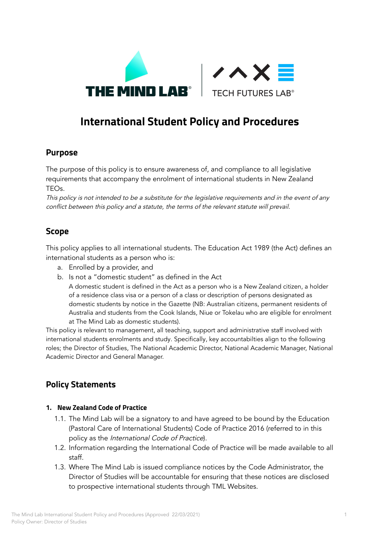



# **International Student Policy and Procedures**

# **Purpose**

The purpose of this policy is to ensure awareness of, and compliance to all legislative requirements that accompany the enrolment of international students in New Zealand TEOs.

This policy is not intended to be <sup>a</sup> substitute for the legislative requirements and in the event of any conflict between this policy and <sup>a</sup> statute, the terms of the relevant statute will prevail.

# **Scope**

This policy applies to all international students. The Education Act 1989 (the Act) defines an international students as a person who is:

- a. Enrolled by a provider, and
- b. Is not a "domestic student" as defined in the Act

A domestic student is defined in the Act as a person who is a New Zealand citizen, a holder of a residence class visa or a person of a class or description of persons designated as domestic students by notice in the Gazette (NB: Australian citizens, permanent residents of Australia and students from the Cook Islands, Niue or Tokelau who are eligible for enrolment at The Mind Lab as domestic students).

This policy is relevant to management, all teaching, support and administrative staff involved with international students enrolments and study. Specifically, key accountabilties align to the following roles; the Director of Studies, The National Academic Director, National Academic Manager, National Academic Director and General Manager.

# **Policy Statements**

### **1. New Zealand Code of Practice**

- 1.1. The Mind Lab will be a signatory to and have agreed to be bound by the Education (Pastoral Care of International Students) Code of Practice 2016 (referred to in this policy as the International Code of Practice).
- 1.2. Information regarding the International Code of Practice will be made available to all staff.
- 1.3. Where The Mind Lab is issued compliance notices by the Code Administrator, the Director of Studies will be accountable for ensuring that these notices are disclosed to prospective international students through TML Websites.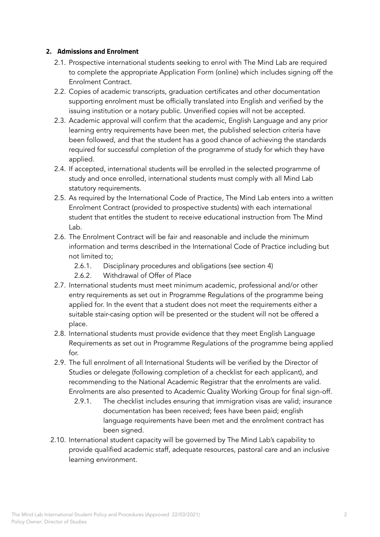#### **2. Admissions and Enrolment**

- 2.1. Prospective international students seeking to enrol with The Mind Lab are required to complete the appropriate Application Form (online) which includes signing off the Enrolment Contract.
- 2.2. Copies of academic transcripts, graduation certificates and other documentation supporting enrolment must be officially translated into English and verified by the issuing institution or a notary public. Unverified copies will not be accepted.
- 2.3. Academic approval will confirm that the academic, English Language and any prior learning entry requirements have been met, the published selection criteria have been followed, and that the student has a good chance of achieving the standards required for successful completion of the programme of study for which they have applied.
- 2.4. If accepted, international students will be enrolled in the selected programme of study and once enrolled, international students must comply with all Mind Lab statutory requirements.
- 2.5. As required by the International Code of Practice, The Mind Lab enters into a written Enrolment Contract (provided to prospective students) with each international student that entitles the student to receive educational instruction from The Mind Lab.
- 2.6. The Enrolment Contract will be fair and reasonable and include the minimum information and terms described in the International Code of Practice including but not limited to;
	- 2.6.1. Disciplinary procedures and obligations (see section 4)
	- 2.6.2. Withdrawal of Offer of Place
- 2.7. International students must meet minimum academic, professional and/or other entry requirements as set out in Programme Regulations of the programme being applied for. In the event that a student does not meet the requirements either a suitable stair-casing option will be presented or the student will not be offered a place.
- 2.8. International students must provide evidence that they meet English Language Requirements as set out in Programme Regulations of the programme being applied  $f$
- 2.9. The full enrolment of all International Students will be verified by the Director of Studies or delegate (following completion of a checklist for each applicant), and recommending to the National Academic Registrar that the enrolments are valid. Enrolments are also presented to Academic Quality Working Group for final sign-off.
	- 2.9.1. The checklist includes ensuring that immigration visas are valid; insurance documentation has been received; fees have been paid; english language requirements have been met and the enrolment contract has been signed.
- 2.10. International student capacity will be governed by The Mind Lab's capability to provide qualified academic staff, adequate resources, pastoral care and an inclusive learning environment.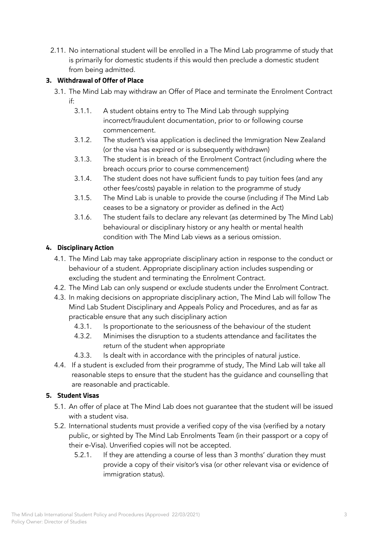2.11. No international student will be enrolled in a The Mind Lab programme of study that is primarily for domestic students if this would then preclude a domestic student from being admitted.

## **3. Withdrawal of Offer of Place**

- 3.1. The Mind Lab may withdraw an Offer of Place and terminate the Enrolment Contract if:
	- 3.1.1. A student obtains entry to The Mind Lab through supplying incorrect/fraudulent documentation, prior to or following course commencement.
	- 3.1.2. The student's visa application is declined the Immigration New Zealand (or the visa has expired or is subsequently withdrawn)
	- 3.1.3. The student is in breach of the Enrolment Contract (including where the breach occurs prior to course commencement)
	- 3.1.4. The student does not have sufficient funds to pay tuition fees (and any other fees/costs) payable in relation to the programme of study
	- 3.1.5. The Mind Lab is unable to provide the course (including if The Mind Lab ceases to be a signatory or provider as defined in the Act)
	- 3.1.6. The student fails to declare any relevant (as determined by The Mind Lab) behavioural or disciplinary history or any health or mental health condition with The Mind Lab views as a serious omission.

### **4. Disciplinary Action**

- 4.1. The Mind Lab may take appropriate disciplinary action in response to the conduct or behaviour of a student. Appropriate disciplinary action includes suspending or excluding the student and terminating the Enrolment Contract.
- 4.2. The Mind Lab can only suspend or exclude students under the Enrolment Contract.
- 4.3. In making decisions on appropriate disciplinary action, The Mind Lab will follow The Mind Lab Student Disciplinary and Appeals Policy and Procedures, and as far as practicable ensure that any such disciplinary action
	- 4.3.1. Is proportionate to the seriousness of the behaviour of the student
	- 4.3.2. Minimises the disruption to a students attendance and facilitates the return of the student when appropriate
	- 4.3.3. Is dealt with in accordance with the principles of natural justice.
- 4.4. If a student is excluded from their programme of study, The Mind Lab will take all reasonable steps to ensure that the student has the guidance and counselling that are reasonable and practicable.

### **5. Student Visas**

- 5.1. An offer of place at The Mind Lab does not guarantee that the student will be issued with a student visa.
- 5.2. International students must provide a verified copy of the visa (verified by a notary public, or sighted by The Mind Lab Enrolments Team (in their passport or a copy of their e-Visa). Unverified copies will not be accepted.
	- 5.2.1. If they are attending a course of less than 3 months' duration they must provide a copy of their visitor's visa (or other relevant visa or evidence of immigration status).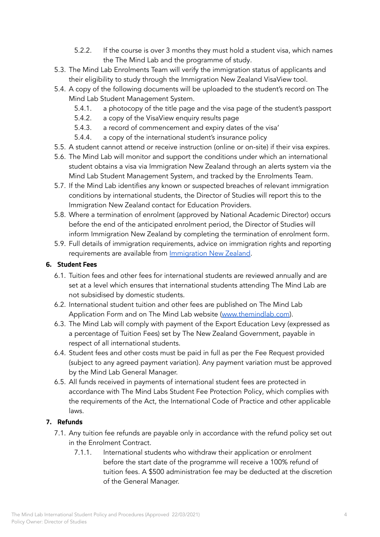- 5.2.2. If the course is over 3 months they must hold a student visa, which names the The Mind Lab and the programme of study.
- 5.3. The Mind Lab Enrolments Team will verify the immigration status of applicants and their eligibility to study through the Immigration New Zealand VisaView tool.
- 5.4. A copy of the following documents will be uploaded to the student's record on The Mind Lab Student Management System.
	- 5.4.1. a photocopy of the title page and the visa page of the student's passport
	- 5.4.2. a copy of the VisaView enquiry results page
	- 5.4.3. a record of commencement and expiry dates of the visa'
	- 5.4.4. a copy of the international student's insurance policy
- 5.5. A student cannot attend or receive instruction (online or on-site) if their visa expires.
- 5.6. The Mind Lab will monitor and support the conditions under which an international student obtains a visa via Immigration New Zealand through an alerts system via the Mind Lab Student Management System, and tracked by the Enrolments Team.
- 5.7. If the Mind Lab identifies any known or suspected breaches of relevant immigration conditions by international students, the Director of Studies will report this to the Immigration New Zealand contact for Education Providers.
- 5.8. Where a termination of enrolment (approved by National Academic Director) occurs before the end of the anticipated enrolment period, the Director of Studies will inform Immigration New Zealand by completing the termination of enrolment form.
- 5.9. Full details of immigration requirements, advice on immigration rights and reporting requirements are available from [Immigration](https://www.immigration.govt.nz/) New Zealand.

## **6. Student Fees**

- 6.1. Tuition fees and other fees for international students are reviewed annually and are set at a level which ensures that international students attending The Mind Lab are not subsidised by domestic students.
- 6.2. International student tuition and other fees are published on The Mind Lab Application Form and on The Mind Lab website [\(www.themindlab.com](http://www.themindlab.com)).
- 6.3. The Mind Lab will comply with payment of the Export Education Levy (expressed as a percentage of Tuition Fees) set by The New Zealand Government, payable in respect of all international students.
- 6.4. Student fees and other costs must be paid in full as per the Fee Request provided (subject to any agreed payment variation). Any payment variation must be approved by the Mind Lab General Manager.
- 6.5. All funds received in payments of international student fees are protected in accordance with The Mind Labs Student Fee Protection Policy, which complies with the requirements of the Act, the International Code of Practice and other applicable laws.

## **7. Refunds**

- 7.1. Any tuition fee refunds are payable only in accordance with the refund policy set out in the Enrolment Contract.
	- 7.1.1. International students who withdraw their application or enrolment before the start date of the programme will receive a 100% refund of tuition fees. A \$500 administration fee may be deducted at the discretion of the General Manager.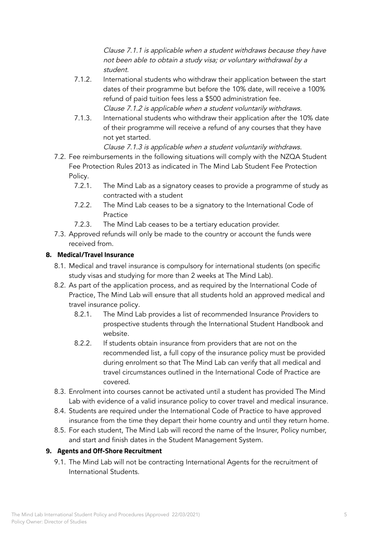Clause 7.1.1 is applicable when <sup>a</sup> student withdraws because they have not been able to obtain <sup>a</sup> study visa; or voluntary withdrawal by <sup>a</sup> student.

- 7.1.2. International students who withdraw their application between the start dates of their programme but before the 10% date, will receive a 100% refund of paid tuition fees less a \$500 administration fee. Clause 7.1.2 is applicable when <sup>a</sup> student voluntarily withdraws.
- 7.1.3. International students who withdraw their application after the 10% date of their programme will receive a refund of any courses that they have not yet started.

Clause 7.1.3 is applicable when <sup>a</sup> student voluntarily withdraws.

- 7.2. Fee reimbursements in the following situations will comply with the NZQA Student Fee Protection Rules 2013 as indicated in The Mind Lab Student Fee Protection Policy.
	- 7.2.1. The Mind Lab as a signatory ceases to provide a programme of study as contracted with a student
	- 7.2.2. The Mind Lab ceases to be a signatory to the International Code of Practice
	- 7.2.3. The Mind Lab ceases to be a tertiary education provider.
- 7.3. Approved refunds will only be made to the country or account the funds were received from.

## **8. Medical/Travel Insurance**

- 8.1. Medical and travel insurance is compulsory for international students (on specific study visas and studying for more than 2 weeks at The Mind Lab).
- 8.2. As part of the application process, and as required by the International Code of Practice, The Mind Lab will ensure that all students hold an approved medical and travel insurance policy.
	- 8.2.1. The Mind Lab provides a list of recommended Insurance Providers to prospective students through the International Student Handbook and website.
	- 8.2.2. If students obtain insurance from providers that are not on the recommended list, a full copy of the insurance policy must be provided during enrolment so that The Mind Lab can verify that all medical and travel circumstances outlined in the International Code of Practice are covered.
- 8.3. Enrolment into courses cannot be activated until a student has provided The Mind Lab with evidence of a valid insurance policy to cover travel and medical insurance.
- 8.4. Students are required under the International Code of Practice to have approved insurance from the time they depart their home country and until they return home.
- 8.5. For each student, The Mind Lab will record the name of the Insurer, Policy number, and start and finish dates in the Student Management System.

## **9. Agents and Off-Shore Recruitment**

9.1. The Mind Lab will not be contracting International Agents for the recruitment of International Students.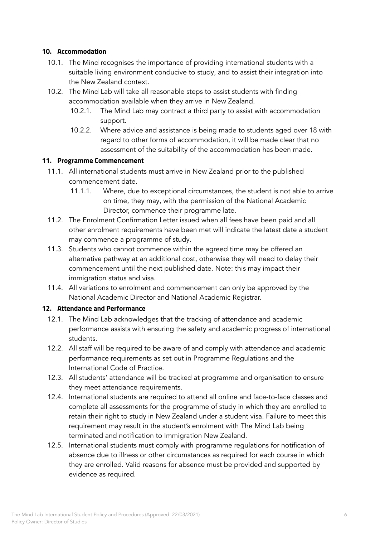#### **10. Accommodation**

- 10.1. The Mind recognises the importance of providing international students with a suitable living environment conducive to study, and to assist their integration into the New Zealand context.
- 10.2. The Mind Lab will take all reasonable steps to assist students with finding accommodation available when they arrive in New Zealand.
	- 10.2.1. The Mind Lab may contract a third party to assist with accommodation support.
	- 10.2.2. Where advice and assistance is being made to students aged over 18 with regard to other forms of accommodation, it will be made clear that no assessment of the suitability of the accommodation has been made.

#### **11. Programme Commencement**

- 11.1. All international students must arrive in New Zealand prior to the published commencement date.
	- 11.1.1. Where, due to exceptional circumstances, the student is not able to arrive on time, they may, with the permission of the National Academic Director, commence their programme late.
- 11.2. The Enrolment Confirmation Letter issued when all fees have been paid and all other enrolment requirements have been met will indicate the latest date a student may commence a programme of study.
- 11.3. Students who cannot commence within the agreed time may be offered an alternative pathway at an additional cost, otherwise they will need to delay their commencement until the next published date. Note: this may impact their immigration status and visa.
- 11.4. All variations to enrolment and commencement can only be approved by the National Academic Director and National Academic Registrar.

### **12. Attendance and Performance**

- 12.1. The Mind Lab acknowledges that the tracking of attendance and academic performance assists with ensuring the safety and academic progress of international students.
- 12.2. All staff will be required to be aware of and comply with attendance and academic performance requirements as set out in Programme Regulations and the International Code of Practice.
- 12.3. All students' attendance will be tracked at programme and organisation to ensure they meet attendance requirements.
- 12.4. International students are required to attend all online and face-to-face classes and complete all assessments for the programme of study in which they are enrolled to retain their right to study in New Zealand under a student visa. Failure to meet this requirement may result in the student's enrolment with The Mind Lab being terminated and notification to Immigration New Zealand.
- 12.5. International students must comply with programme regulations for notification of absence due to illness or other circumstances as required for each course in which they are enrolled. Valid reasons for absence must be provided and supported by evidence as required.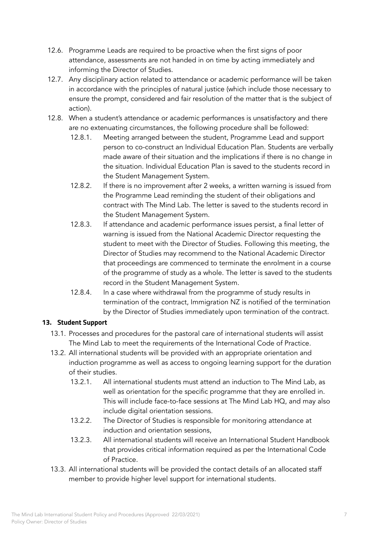- 12.6. Programme Leads are required to be proactive when the first signs of poor attendance, assessments are not handed in on time by acting immediately and informing the Director of Studies.
- 12.7. Any disciplinary action related to attendance or academic performance will be taken in accordance with the principles of natural justice (which include those necessary to ensure the prompt, considered and fair resolution of the matter that is the subject of action).
- 12.8. When a student's attendance or academic performances is unsatisfactory and there are no extenuating circumstances, the following procedure shall be followed:
	- 12.8.1. Meeting arranged between the student, Programme Lead and support person to co-construct an Individual Education Plan. Students are verbally made aware of their situation and the implications if there is no change in the situation. Individual Education Plan is saved to the students record in the Student Management System.
	- 12.8.2. If there is no improvement after 2 weeks, a written warning is issued from the Programme Lead reminding the student of their obligations and contract with The Mind Lab. The letter is saved to the students record in the Student Management System.
	- 12.8.3. If attendance and academic performance issues persist, a final letter of warning is issued from the National Academic Director requesting the student to meet with the Director of Studies. Following this meeting, the Director of Studies may recommend to the National Academic Director that proceedings are commenced to terminate the enrolment in a course of the programme of study as a whole. The letter is saved to the students record in the Student Management System.
	- 12.8.4. In a case where withdrawal from the programme of study results in termination of the contract, Immigration NZ is notified of the termination by the Director of Studies immediately upon termination of the contract.

## **13. Student Support**

- 13.1. Processes and procedures for the pastoral care of international students will assist The Mind Lab to meet the requirements of the International Code of Practice.
- 13.2. All international students will be provided with an appropriate orientation and induction programme as well as access to ongoing learning support for the duration of their studies.
	- 13.2.1. All international students must attend an induction to The Mind Lab, as well as orientation for the specific programme that they are enrolled in. This will include face-to-face sessions at The Mind Lab HQ, and may also include digital orientation sessions.
	- 13.2.2. The Director of Studies is responsible for monitoring attendance at induction and orientation sessions,
	- 13.2.3. All international students will receive an International Student Handbook that provides critical information required as per the International Code of Practice.
- 13.3. All international students will be provided the contact details of an allocated staff member to provide higher level support for international students.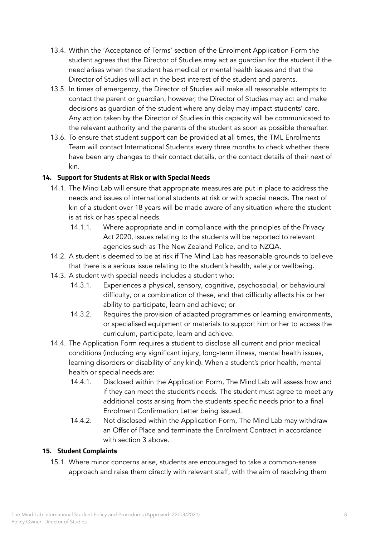- 13.4. Within the 'Acceptance of Terms' section of the Enrolment Application Form the student agrees that the Director of Studies may act as guardian for the student if the need arises when the student has medical or mental health issues and that the Director of Studies will act in the best interest of the student and parents.
- 13.5. In times of emergency, the Director of Studies will make all reasonable attempts to contact the parent or guardian, however, the Director of Studies may act and make decisions as guardian of the student where any delay may impact students' care. Any action taken by the Director of Studies in this capacity will be communicated to the relevant authority and the parents of the student as soon as possible thereafter.
- 13.6. To ensure that student support can be provided at all times, the TML Enrolments Team will contact International Students every three months to check whether there have been any changes to their contact details, or the contact details of their next of kin.

## **14. Support for Students at Risk or with Special Needs**

- 14.1. The Mind Lab will ensure that appropriate measures are put in place to address the needs and issues of international students at risk or with special needs. The next of kin of a student over 18 years will be made aware of any situation where the student is at risk or has special needs.
	- 14.1.1. Where appropriate and in compliance with the principles of the Privacy Act 2020, issues relating to the students will be reported to relevant agencies such as The New Zealand Police, and to NZQA.
- 14.2. A student is deemed to be at risk if The Mind Lab has reasonable grounds to believe that there is a serious issue relating to the student's health, safety or wellbeing.
- 14.3. A student with special needs includes a student who:
	- 14.3.1. Experiences a physical, sensory, cognitive, psychosocial, or behavioural difficulty, or a combination of these, and that difficulty affects his or her ability to participate, learn and achieve; or
	- 14.3.2. Requires the provision of adapted programmes or learning environments, or specialised equipment or materials to support him or her to access the curriculum, participate, learn and achieve.
- 14.4. The Application Form requires a student to disclose all current and prior medical conditions (including any significant injury, long-term illness, mental health issues, learning disorders or disability of any kind). When a student's prior health, mental health or special needs are:
	- 14.4.1. Disclosed within the Application Form, The Mind Lab will assess how and if they can meet the student's needs. The student must agree to meet any additional costs arising from the students specific needs prior to a final Enrolment Confirmation Letter being issued.
	- 14.4.2. Not disclosed within the Application Form, The Mind Lab may withdraw an Offer of Place and terminate the Enrolment Contract in accordance with section 3 above.

### **15. Student Complaints**

15.1. Where minor concerns arise, students are encouraged to take a common-sense approach and raise them directly with relevant staff, with the aim of resolving them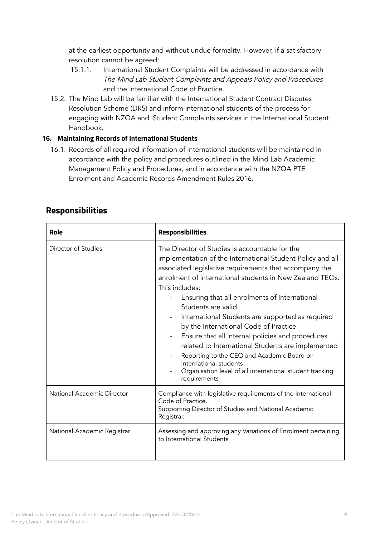at the earliest opportunity and without undue formality. However, if a satisfactory resolution cannot be agreed:

- 15.1.1. International Student Complaints will be addressed in accordance with The Mind Lab Student Complaints and Appeals Policy and Procedures and the International Code of Practice.
- 15.2. The Mind Lab will be familiar with the International Student Contract Disputes Resolution Scheme (DRS) and inform international students of the process for engaging with NZQA and iStudent Complaints services in the International Student Handbook.

## **16. Maintaining Records of International Students**

16.1. Records of all required information of international students will be maintained in accordance with the policy and procedures outlined in the Mind Lab Academic Management Policy and Procedures, and in accordance with the NZQA PTE Enrolment and Academic Records Amendment Rules 2016.

|--|

| Role                        | Responsibilities                                                                                                                                                                                                                                                                                                                                                                                                                                                                                                                                                                                                                                                                      |  |
|-----------------------------|---------------------------------------------------------------------------------------------------------------------------------------------------------------------------------------------------------------------------------------------------------------------------------------------------------------------------------------------------------------------------------------------------------------------------------------------------------------------------------------------------------------------------------------------------------------------------------------------------------------------------------------------------------------------------------------|--|
| Director of Studies         | The Director of Studies is accountable for the<br>implementation of the International Student Policy and all<br>associated legislative requirements that accompany the<br>enrolment of international students in New Zealand TEOs.<br>This includes:<br>Ensuring that all enrolments of International<br>Students are valid<br>International Students are supported as required<br>by the International Code of Practice<br>Ensure that all internal policies and procedures<br>related to International Students are implemented<br>Reporting to the CEO and Academic Board on<br>international students<br>Organisation level of all international student tracking<br>requirements |  |
| National Academic Director  | Compliance with legislative requirements of the International<br>Code of Practice.<br>Supporting Director of Studies and National Academic<br>Registrar.                                                                                                                                                                                                                                                                                                                                                                                                                                                                                                                              |  |
| National Academic Registrar | Assessing and approving any Variations of Enrolment pertaining<br>to International Students                                                                                                                                                                                                                                                                                                                                                                                                                                                                                                                                                                                           |  |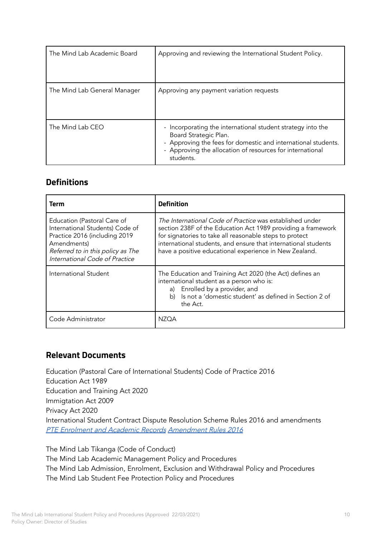| The Mind Lab Academic Board  | Approving and reviewing the International Student Policy.                                                                                                                                                                       |
|------------------------------|---------------------------------------------------------------------------------------------------------------------------------------------------------------------------------------------------------------------------------|
| The Mind Lab General Manager | Approving any payment variation requests                                                                                                                                                                                        |
| The Mind Lab CEO             | - Incorporating the international student strategy into the<br>Board Strategic Plan.<br>- Approving the fees for domestic and international students.<br>- Approving the allocation of resources for international<br>students. |

# **Definitions**

| Term                                                                                                                                                                                  | <b>Definition</b>                                                                                                                                                                                                                                                                                               |  |
|---------------------------------------------------------------------------------------------------------------------------------------------------------------------------------------|-----------------------------------------------------------------------------------------------------------------------------------------------------------------------------------------------------------------------------------------------------------------------------------------------------------------|--|
| Education (Pastoral Care of<br>International Students) Code of<br>Practice 2016 (including 2019<br>Amendments)<br>Referred to in this policy as The<br>International Code of Practice | The International Code of Practice was established under<br>section 238F of the Education Act 1989 providing a framework<br>for signatories to take all reasonable steps to protect<br>international students, and ensure that international students<br>have a positive educational experience in New Zealand. |  |
| International Student                                                                                                                                                                 | The Education and Training Act 2020 (the Act) defines an<br>international student as a person who is:<br>a) Enrolled by a provider, and<br>b) Is not a 'domestic student' as defined in Section 2 of<br>the Act.                                                                                                |  |
| Code Administrator                                                                                                                                                                    | N7OA                                                                                                                                                                                                                                                                                                            |  |

# **Relevant Documents**

Education (Pastoral Care of International Students) Code of Practice 2016 Education Act 1989 Education and Training Act 2020 Immigtation Act 2009 Privacy Act 2020 International Student Contract Dispute Resolution Scheme Rules 2016 and amendments PTE Enrolment and Academic Records [Amendment](https://www.nzqa.govt.nz/assets/About-us/Our-role/Rules/enrolment-academic-records-amend2016.pdf) Rules 2016

The Mind Lab Tikanga (Code of Conduct) The Mind Lab Academic Management Policy and Procedures The Mind Lab Admission, Enrolment, Exclusion and Withdrawal Policy and Procedures The Mind Lab Student Fee Protection Policy and Procedures